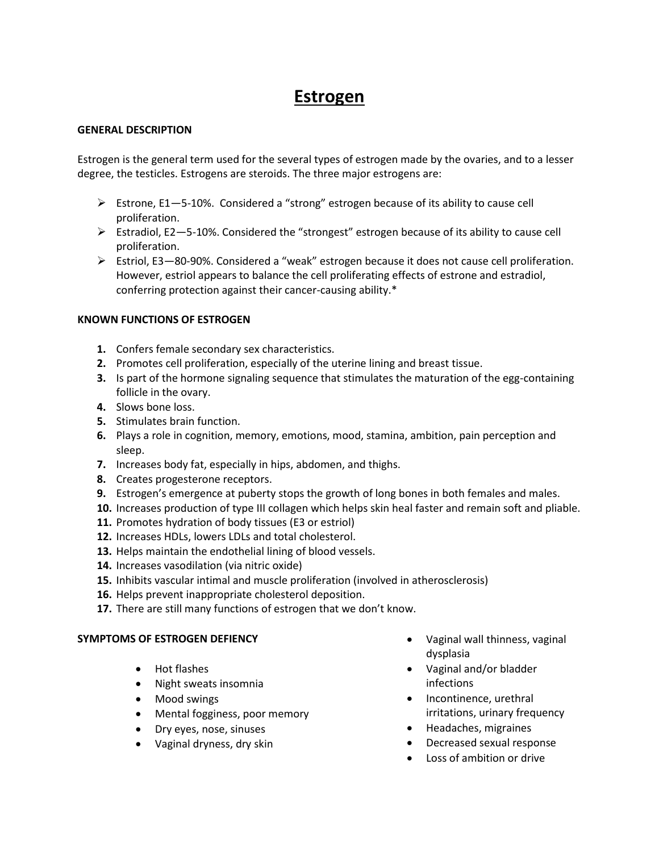# **Estrogen**

#### **GENERAL DESCRIPTION**

Estrogen is the general term used for the several types of estrogen made by the ovaries, and to a lesser degree, the testicles. Estrogens are steroids. The three major estrogens are:

- Estrone,  $E1 5-10$ %. Considered a "strong" estrogen because of its ability to cause cell proliferation.
- $\triangleright$  Estradiol, E2–5-10%. Considered the "strongest" estrogen because of its ability to cause cell proliferation.
- Estriol, E3—80-90%. Considered a "weak" estrogen because it does not cause cell proliferation. However, estriol appears to balance the cell proliferating effects of estrone and estradiol, conferring protection against their cancer-causing ability.\*

#### **KNOWN FUNCTIONS OF ESTROGEN**

- **1.** Confers female secondary sex characteristics.
- **2.** Promotes cell proliferation, especially of the uterine lining and breast tissue.
- **3.** Is part of the hormone signaling sequence that stimulates the maturation of the egg-containing follicle in the ovary.
- **4.** Slows bone loss.
- **5.** Stimulates brain function.
- **6.** Plays a role in cognition, memory, emotions, mood, stamina, ambition, pain perception and sleep.
- **7.** Increases body fat, especially in hips, abdomen, and thighs.
- **8.** Creates progesterone receptors.
- **9.** Estrogen's emergence at puberty stops the growth of long bones in both females and males.
- **10.** Increases production of type III collagen which helps skin heal faster and remain soft and pliable.
- **11.** Promotes hydration of body tissues (E3 or estriol)
- **12.** Increases HDLs, lowers LDLs and total cholesterol.
- **13.** Helps maintain the endothelial lining of blood vessels.
- **14.** Increases vasodilation (via nitric oxide)
- **15.** Inhibits vascular intimal and muscle proliferation (involved in atherosclerosis)
- **16.** Helps prevent inappropriate cholesterol deposition.
- **17.** There are still many functions of estrogen that we don't know.

#### **SYMPTOMS OF ESTROGEN DEFIENCY**

- Hot flashes
- Night sweats insomnia
- Mood swings
- Mental fogginess, poor memory
- Dry eyes, nose, sinuses
- Vaginal dryness, dry skin
- Vaginal wall thinness, vaginal dysplasia
- Vaginal and/or bladder infections
- Incontinence, urethral irritations, urinary frequency
- Headaches, migraines
- Decreased sexual response
- Loss of ambition or drive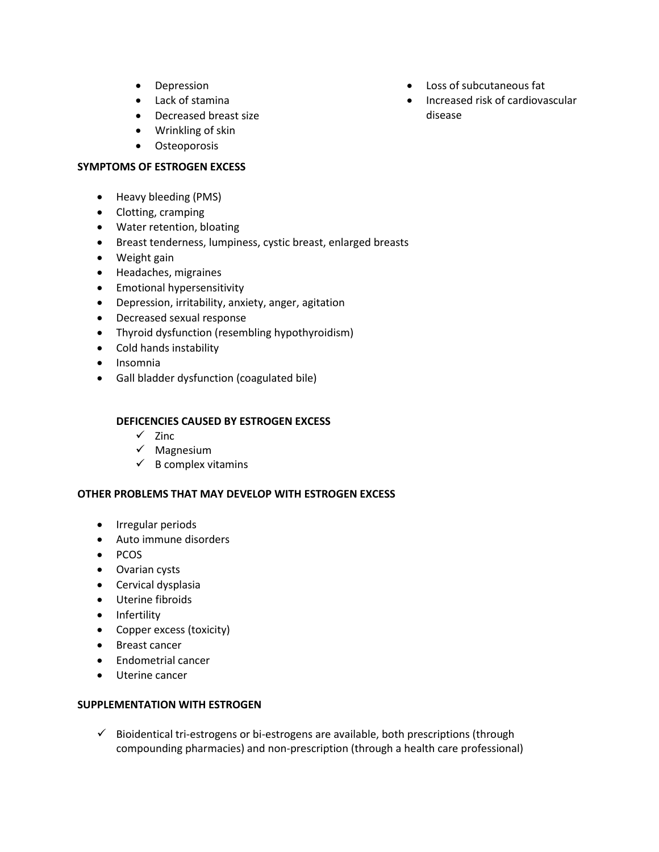- Depression
- Lack of stamina
- Decreased breast size
- Wrinkling of skin
- **•** Osteoporosis

#### **SYMPTOMS OF ESTROGEN EXCESS**

- Heavy bleeding (PMS)
- Clotting, cramping
- Water retention, bloating
- Breast tenderness, lumpiness, cystic breast, enlarged breasts
- Weight gain
- Headaches, migraines
- **•** Emotional hypersensitivity
- Depression, irritability, anxiety, anger, agitation
- Decreased sexual response
- Thyroid dysfunction (resembling hypothyroidism)
- Cold hands instability
- Insomnia
- Gall bladder dysfunction (coagulated bile)

## **DEFICENCIES CAUSED BY ESTROGEN EXCESS**

- $\checkmark$  Zinc
- $\checkmark$  Magnesium
- $\checkmark$  B complex vitamins

#### **OTHER PROBLEMS THAT MAY DEVELOP WITH ESTROGEN EXCESS**

- Irregular periods
- Auto immune disorders
- $\bullet$  PCOS
- Ovarian cysts
- **•** Cervical dysplasia
- Uterine fibroids
- Infertility
- Copper excess (toxicity)
- Breast cancer
- Endometrial cancer
- Uterine cancer

### **SUPPLEMENTATION WITH ESTROGEN**

 $\checkmark$  Bioidentical tri-estrogens or bi-estrogens are available, both prescriptions (through compounding pharmacies) and non-prescription (through a health care professional)

- Loss of subcutaneous fat
- Increased risk of cardiovascular disease